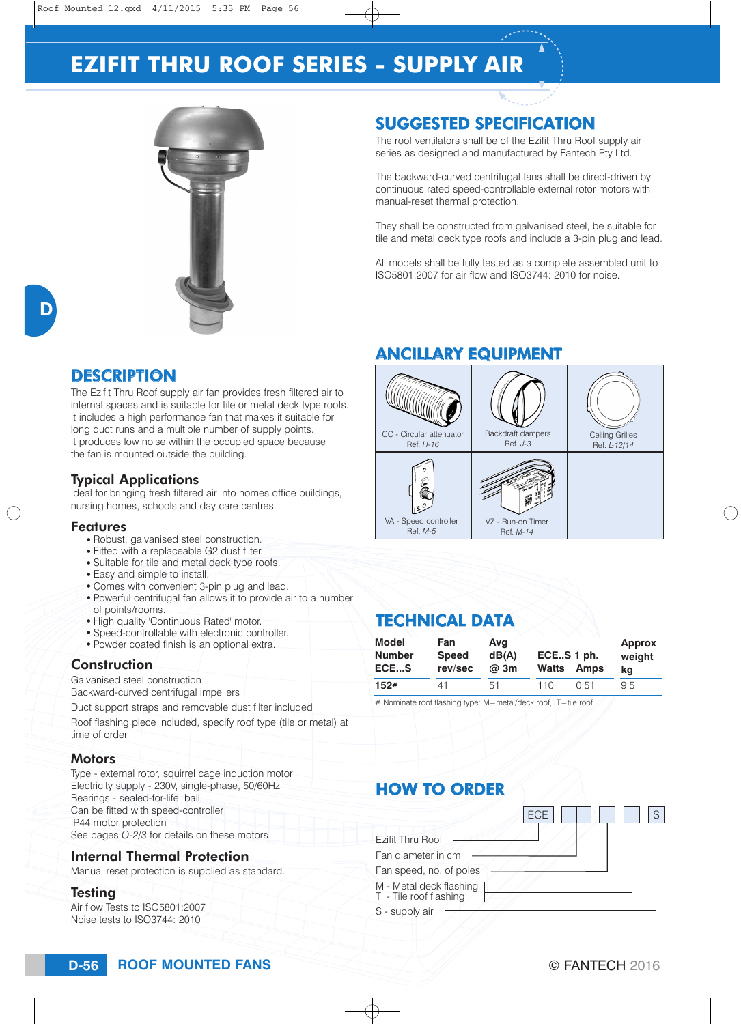# **EZIFIT THRU ROOF SERIES - SUPPLY AIR**



### SUGGESTED SPECIFICATION

The roof ventilators shall be of the Ezifit Thru Roof supply air series as designed and manufactured by Fantech Pty Ltd.

The backward-curved centrifugal fans shall be direct-driven by continuous rated speed-controllable external rotor motors with manual-reset thermal protection.

They shall be constructed from galvanised steel, be suitable for tile and metal deck type roofs and include a 3-pin plug and lead.

All models shall be fully tested as a complete assembled unit to ISO5801:2007 for air flow and ISO3744: 2010 for noise.

## **DESCRIPTION**

The Ezifit Thru Roof supply air fan provides fresh filtered air to internal spaces and is suitable for tile or metal deck type roofs. It includes a high performance fan that makes it suitable for long duct runs and a multiple number of supply points. It produces low noise within the occupied space because the fan is mounted outside the building.

#### Typical Applications

Ideal for bringing fresh filtered air into homes office buildings, nursing homes, schools and day care centres.

#### Features

- Robust, galvanised steel construction.
- Fitted with a replaceable G2 dust filter.
- Suitable for tile and metal deck type roofs.
- Easy and simple to install.
- Comes with convenient 3-pin plug and lead.
- Powerful centrifugal fan allows it to provide air to a number of points/rooms.
- . High quality 'Continuous Rated' motor.
- Speed-controllable with electronic controller.
- Powder coated finish is an optional extra.

#### **Construction**

Galvanised steel construction Backward-curved centrifugal impellers

Duct support straps and removable dust filter included

Roof flashing piece included, specify roof type (tile or metal) at time of order

#### **Motors**

Type - external rotor, squirrel cage induction motor Electricity supply - 230V, single-phase, 50/60Hz Bearings - sealed-for-life, ball Can be fitted with speed-controller IP44 motor protection See pages *O-2/3* for details on these motors

#### Internal Thermal Protection

Manual reset protection is supplied as standard.

#### Testing

Air flow Tests to ISO5801:2007 Noise tests to ISO3744: 2010

## ANCILLARY EQUIPMENT



### TECHNICAL DATA

| Model         | Fan          | Avg         | ECES 1 ph. |      | <b>Approx</b> |
|---------------|--------------|-------------|------------|------|---------------|
| <b>Number</b> | <b>Speed</b> | dB(A)       | Watts      |      | weight        |
| ECES          | rev/sec      | $\omega$ 3m | Amps       |      | ka            |
| 152#          | 41           | 51          | 110        | 0.51 | 9.5           |

# Nominate roof flashing type: M=metal/deck roof, T=tile roof

## HOW TO ORDER